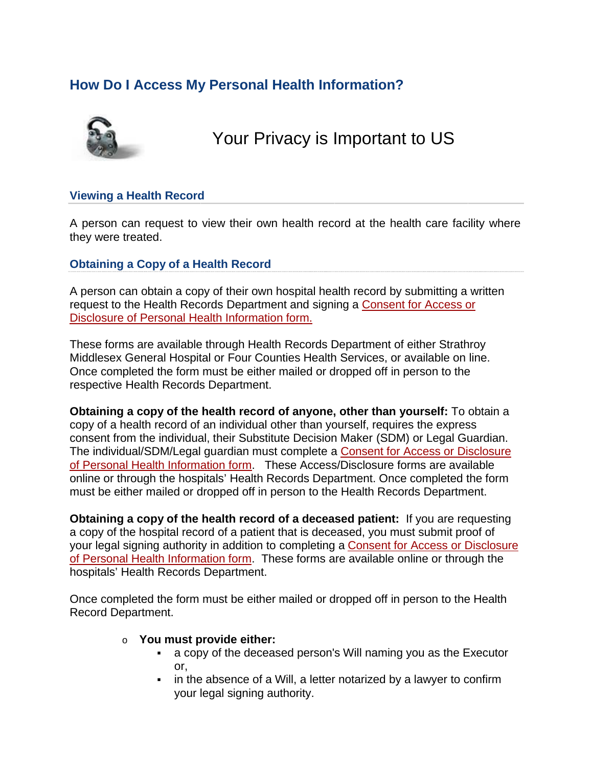## **How Do I Access My Personal Health Information?**



Your Privacy is Important to US

## **Viewing a Health Record**

A person can request to view their own health record at the health care facility where they were treated.

**Obtaining a Copy of a Health Record**

A person can obtain a copy of their own hospital health record by submitting a written request to the Health Records Department and signing a Consent for Access or Disclosure of Personal Health Information form.

These forms are available through Health Records Department of either Strathroy Middlesex General Hospital or Four Counties Health Services, or available on line. Once completed the form must be either mailed or dropped off in person to the respective Health Records Department.

**Obtaining a copy of the health record of anyone, other than yourself:** To obtain a copy of a health record of an individual other than yourself, requires the express consent from the individual, their Substitute Decision Maker (SDM) or Legal Guardian. The individual/SDM/Legal guardian must complete a **Consent for Access or Disclosure** of Personal Health Information form. These Access/Disclosure forms are available online or through the hospitals' Health Records Department. Once completed the form must be either mailed or dropped off in person to the Health Records Department.

**Obtaining a copy of the health record of a deceased patient:** If you are requesting a copy of the hospital record of a patient that is deceased, you must submit proof of your legal signing authority in addition to completing a Consent for Access or Disclosure of Personal Health Information form. These forms are available online or through the hospitals' Health Records Department.

Once completed the form must be either mailed or dropped off in person to the Health Record Department.

## o **You must provide either:**

- a copy of the deceased person's Will naming you as the Executor or,
- in the absence of a Will, a letter notarized by a lawyer to confirm your legal signing authority.